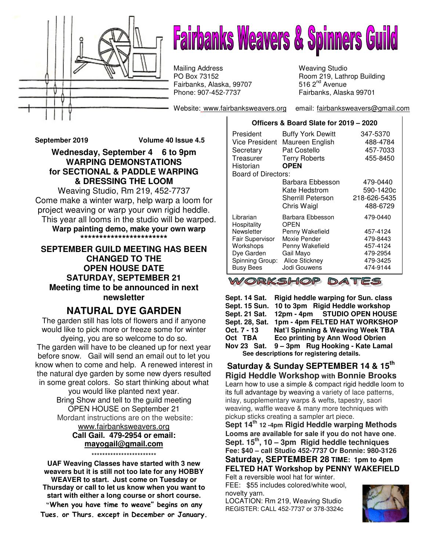

# **Fairbanks Weavers & Spinners Guild**

Fairbanks, Alaska, 99707 **516 2<sup>nd</sup> Avenue** Phone: 907-452-7737 Mailing Address Weaving Studio<br>
PO Box 73152 Moom 219, Lath

Website: www.fairbanksweavers.org email: fairbanksweavers@gmail.com

Room 219, Lathrop Building 516  $2<sup>nd</sup>$  Avenue Fairbanks, Alaska 99701

**September 2019 Volume 40 Issue 4.5** 

**Wednesday, September 4 6 to 9pm WARPING DEMONSTATIONS for SECTIONAL & PADDLE WARPING & DRESSING THE LOOM** 

Weaving Studio, Rm 219, 452-7737 Come make a winter warp, help warp a loom for project weaving or warp your own rigid heddle. This year all looms in the studio will be warped. **Warp painting demo, make your own warp \*\*\*\*\*\*\*\*\*\*\*\*\*\*\*\*\*\*\*\*\*\*\*** 

#### **SEPTEMBER GUILD MEETING HAS BEEN CHANGED TO THE OPEN HOUSE DATE SATURDAY, SEPTEMBER 21 Meeting time to be announced in next newsletter**

# **NATURAL DYE GARDEN**

The garden still has lots of flowers and if anyone would like to pick more or freeze some for winter dyeing, you are so welcome to do so.

The garden will have to be cleaned up for next year before snow. Gail will send an email out to let you know when to come and help. A renewed interest in the natural dye garden by some new dyers resulted in some great colors. So start thinking about what

you would like planted next year. Bring Show and tell to the guild meeting OPEN HOUSE on September 21 Mordant instructions are on the website: www.fairbanksweavers.org

**Call Gail. 479-2954 or email: mayogail@gmail.com** \*\*\*\*\*\*\*\*\*\*\*\*\*\*\*\*\*\*\*\*\*\*\*\*

**UAF Weaving Classes have started with 3 new weavers but it is still not too late for any HOBBY WEAVER to start. Just come on Tuesday or Thursday or call to let us know when you want to start with either a long course or short course. "**When you have time to weave" begins on any

Tues. or Thurs. except in December or January.

| President<br>Vice President<br>Secretary<br>Treasurer<br>Historian | <b>Buffy York Dewitt</b><br>Maureen English<br>Pat Costello<br><b>Terry Roberts</b><br><b>OPEN</b> | 347-5370<br>488-4784<br>457-7033<br>455-8450 |
|--------------------------------------------------------------------|----------------------------------------------------------------------------------------------------|----------------------------------------------|
| Board of Directors:                                                |                                                                                                    |                                              |
|                                                                    | Barbara Ebbesson                                                                                   | 479-0440                                     |
|                                                                    | Kate Hedstrom                                                                                      | 590-1420c                                    |
|                                                                    | Sherrill Peterson                                                                                  | 218-626-5435                                 |
|                                                                    | Chris Waigl                                                                                        | 488-6729                                     |
| Librarian<br>Hospitality                                           | Barbara Ebbesson<br>OPFN                                                                           | 479-0440                                     |
| Newsletter                                                         | Penny Wakefield                                                                                    | 457-4124                                     |
| <b>Fair Supervisor</b>                                             | Moxie Pender                                                                                       | 479-8443                                     |
| Workshops                                                          | Penny Wakefield                                                                                    | 457-4124                                     |
| Dye Garden                                                         | Gail Mayo                                                                                          | 479-2954                                     |
| Spinning Group:                                                    | <b>Alice Stickney</b>                                                                              | 479-3425                                     |
| <b>Busy Bees</b>                                                   | Jodi Gouwens                                                                                       | 474-9144                                     |

**Officers & Board Slate for 2019 – 2020**

WORKSHOP DATES

**Sept. 14 Sat. Rigid heddle warping for Sun. class Sept. 15 Sun. 10 to 3pm Rigid Heddle workshop Sept. 21 Sat. 12pm - 4pm STUDIO OPEN HOUSE Sept. 28, Sat. 1pm - 4pm FELTED HAT WORKSHOP Oct. 7 - 13 Nat'l Spinning & Weaving Week TBA Eco printing by Ann Wood Obrien Nov 23 Sat. 9 – 3pm Rug Hooking - Kate Lamal See descriptions for registering details.**

**Saturday & Sunday SEPTEMBER 14 & 15th Rigid Heddle Workshop with Bonnie Brooks** Learn how to use a simple & compact rigid heddle loom to its full advantage by weaving a variety of lace patterns, inlay, supplementary warps & wefts, tapestry, saori weaving, waffle weave & many more techniques with pickup sticks creating a sampler art piece.

**Sept 14th 12 -4pm Rigid Heddle warping Methods Looms are available for sale if you do not have one**. **Sept. 15th, 10 – 3pm Rigid heddle techniques Fee: \$40 – call Studio 452-7737 Or Bonnie: 980-3126 Saturday, SEPTEMBER 28 TIME: 1pm to 4pm FELTED HAT Workshop by PENNY WAKEFIELD**

Felt a reversible wool hat for winter.

FEE: \$55 includes colored/white wool, novelty yarn.

LOCATION: Rm 219, Weaving Studio REGISTER: CALL 452-7737 or 378-3324c